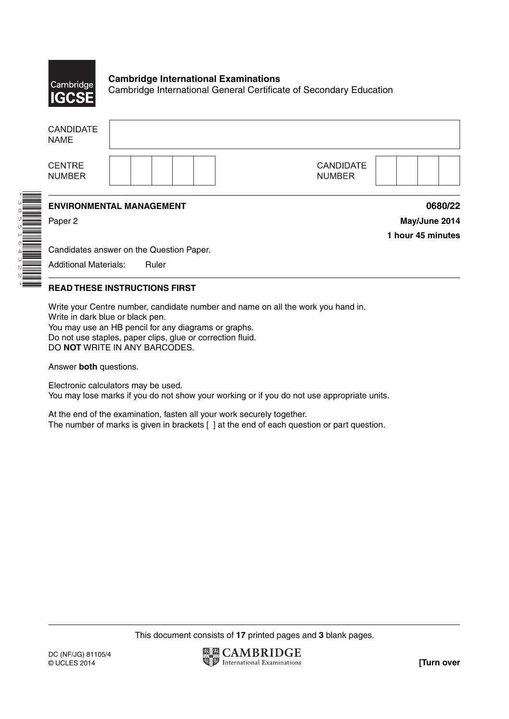

\*3855164322\*

### **Cambridge International Examinations** Cambridge International General Certificate of Secondary Education

| <b>CANDIDATE</b><br><b>NAME</b> |                                   |                                               |
|---------------------------------|-----------------------------------|-----------------------------------------------|
| <b>CENTRE</b><br><b>NUMBER</b>  | <b>CANDIDATE</b><br><b>NUMBER</b> |                                               |
| Paper 2                         | <b>ENVIRONMENTAL MANAGEMENT</b>   | 0680/22<br>May/June 2014<br>1 hour 45 minutes |
|                                 |                                   |                                               |

## **READ THESE INSTRUCTIONS FIRST**

Write your Centre number, candidate number and name on all the work you hand in. Write in dark blue or black pen. You may use an HB pencil for any diagrams or graphs. Do not use staples, paper clips, glue or correction fluid. DO **NOT** WRITE IN ANY BARCODES.

Answer **both** questions.

Electronic calculators may be used. You may lose marks if you do not show your working or if you do not use appropriate units.

At the end of the examination, fasten all your work securely together. The number of marks is given in brackets [ ] at the end of each question or part question.

This document consists of **17** printed pages and **3** blank pages.

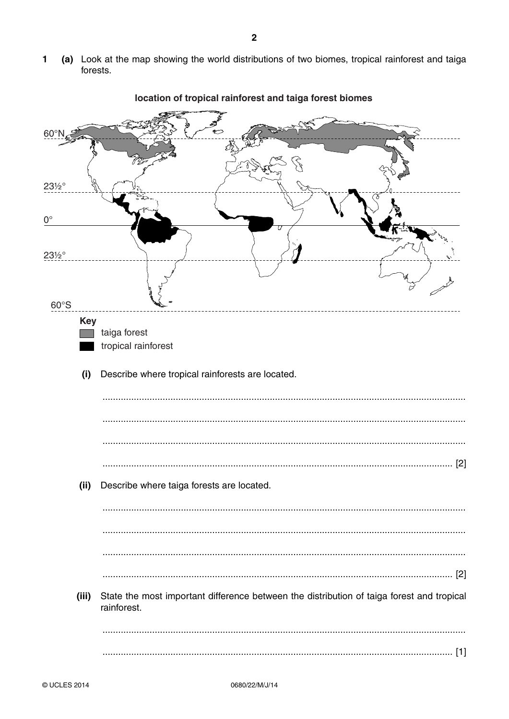(a) Look at the map showing the world distributions of two biomes, tropical rainforest and taiga 1 forests.



location of tropical rainforest and taiga forest biomes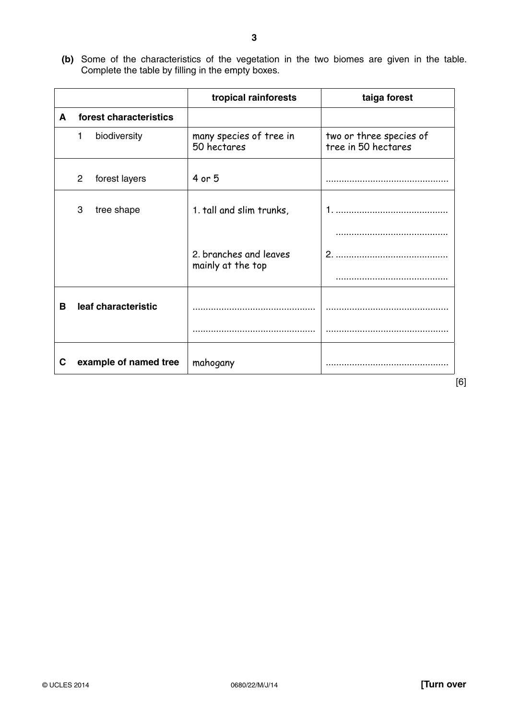**(b)** Some of the characteristics of the vegetation in the two biomes are given in the table. Complete the table by filling in the empty boxes.

|   |                        | tropical rainforests                        | taiga forest                                   |
|---|------------------------|---------------------------------------------|------------------------------------------------|
| A | forest characteristics |                                             |                                                |
|   | 1.<br>biodiversity     | many species of tree in<br>50 hectares      | two or three species of<br>tree in 50 hectares |
|   | 2<br>forest layers     | 4 or 5                                      |                                                |
|   | 3<br>tree shape        | 1. tall and slim trunks,                    |                                                |
|   |                        |                                             |                                                |
|   |                        | 2. branches and leaves<br>mainly at the top |                                                |
|   |                        |                                             |                                                |
| В | leaf characteristic    |                                             |                                                |
|   |                        |                                             |                                                |
| С | example of named tree  | mahogany                                    |                                                |

[6]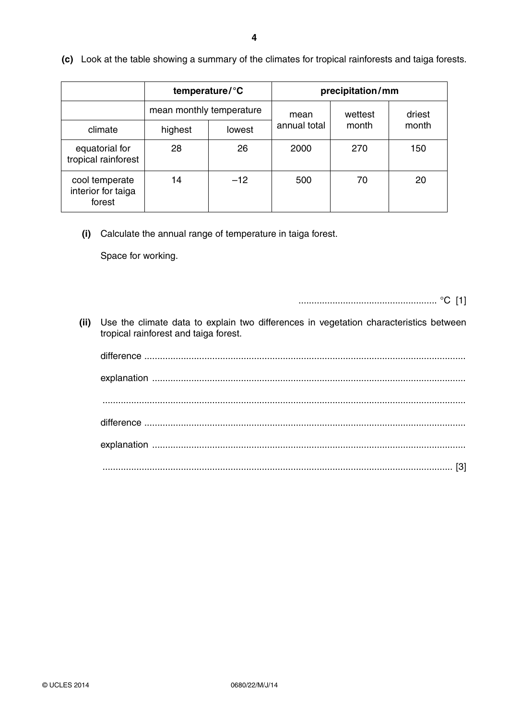**(c)** Look at the table showing a summary of the climates for tropical rainforests and taiga forests.

|                                                | temperature/°C           |        | precipitation/mm |         |        |
|------------------------------------------------|--------------------------|--------|------------------|---------|--------|
|                                                | mean monthly temperature |        | mean             | wettest | driest |
| climate                                        | highest                  | lowest | annual total     | month   | month  |
| equatorial for<br>tropical rainforest          | 28                       | 26     | 2000             | 270     | 150    |
| cool temperate<br>interior for taiga<br>forest | 14                       | $-12$  | 500              | 70      | 20     |

 **(i)** Calculate the annual range of temperature in taiga forest.

Space for working.

..................................................... °C [1]

 **(ii)** Use the climate data to explain two differences in vegetation characteristics between tropical rainforest and taiga forest.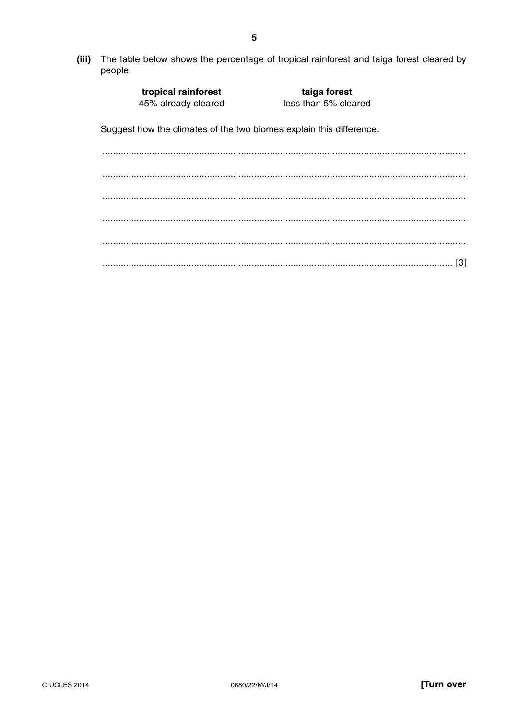(iii) The table below shows the percentage of tropical rainforest and taiga forest cleared by people.

| tropical rainforest<br>45% already cleared                          | taiga forest<br>less than 5% cleared |
|---------------------------------------------------------------------|--------------------------------------|
| Suggest how the climates of the two biomes explain this difference. |                                      |
|                                                                     |                                      |
|                                                                     |                                      |
|                                                                     |                                      |
|                                                                     |                                      |
|                                                                     |                                      |
|                                                                     | $\lceil 3 \rceil$                    |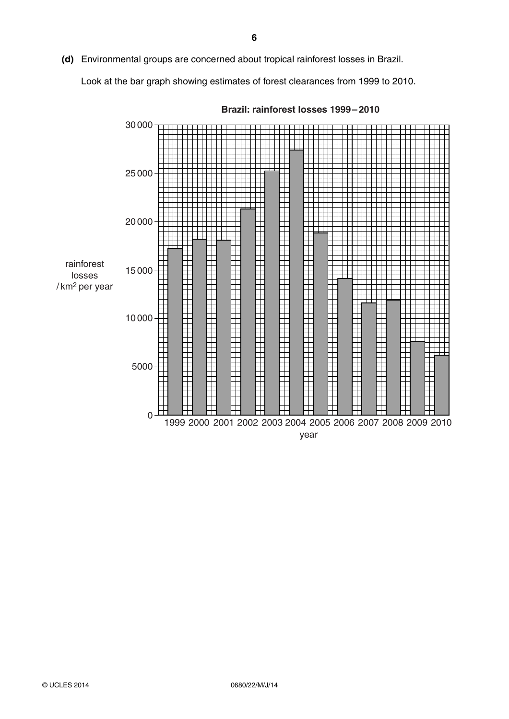**(d)** Environmental groups are concerned about tropical rainforest losses in Brazil.

Look at the bar graph showing estimates of forest clearances from 1999 to 2010.



**Brazil: rainforest losses 1999 – 2010**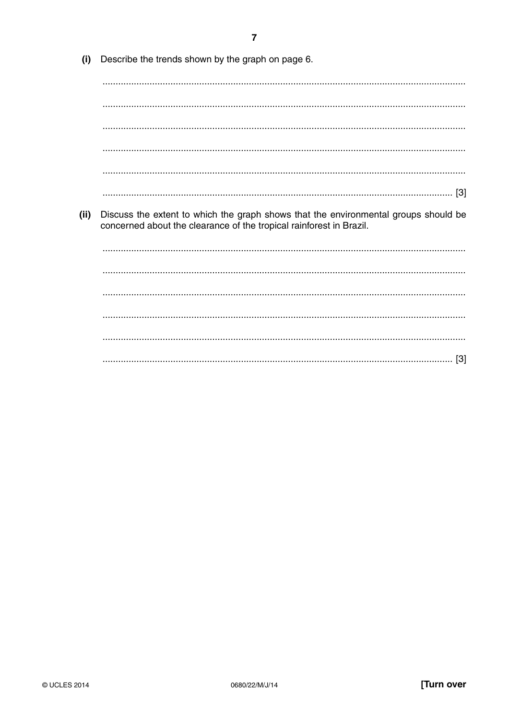$(i)$ Describe the trends shown by the graph on page 6.  $(ii)$ Discuss the extent to which the graph shows that the environmental groups should be concerned about the clearance of the tropical rainforest in Brazil.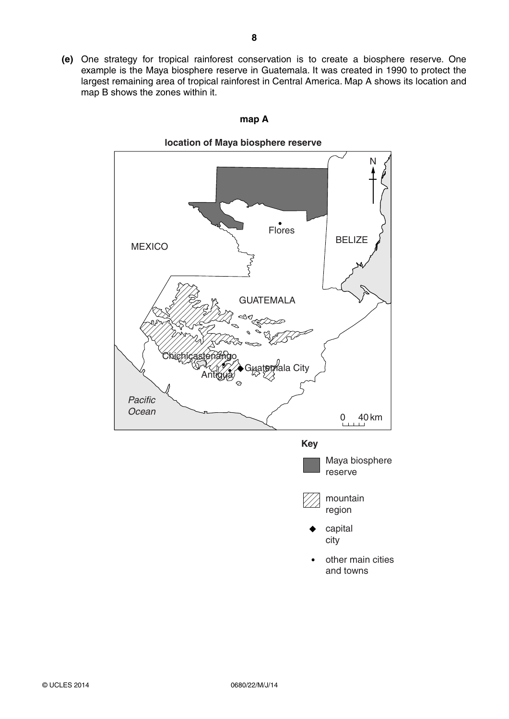**(e)** One strategy for tropical rainforest conservation is to create a biosphere reserve. One example is the Maya biosphere reserve in Guatemala. It was created in 1990 to protect the largest remaining area of tropical rainforest in Central America. Map A shows its location and map B shows the zones within it.



**map A**

**Key**

Maya biosphere reserve

mountain region

capital city

other main cities and towns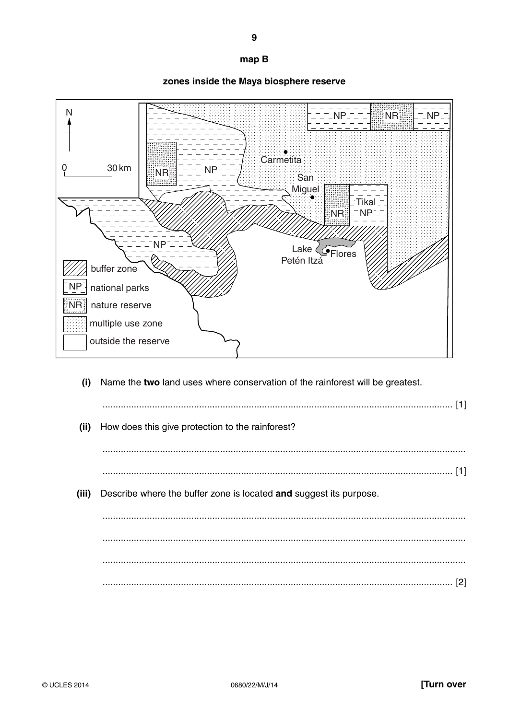#### map B





- Name the two land uses where conservation of the rainforest will be greatest.  $(i)$
- (ii) How does this give protection to the rainforest? Describe where the buffer zone is located and suggest its purpose. (iii)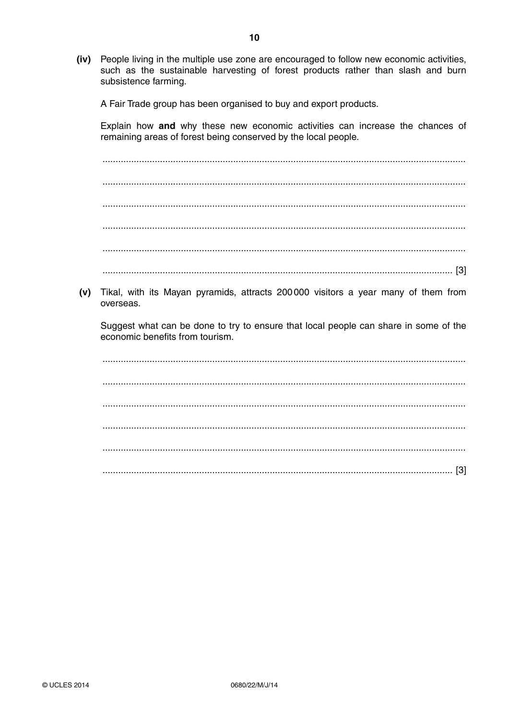(iv) People living in the multiple use zone are encouraged to follow new economic activities, such as the sustainable harvesting of forest products rather than slash and burn subsistence farming.

A Fair Trade group has been organised to buy and export products.

Explain how and why these new economic activities can increase the chances of remaining areas of forest being conserved by the local people.

Tikal, with its Mayan pyramids, attracts 200000 visitors a year many of them from  $(v)$ overseas.

Suggest what can be done to try to ensure that local people can share in some of the economic benefits from tourism.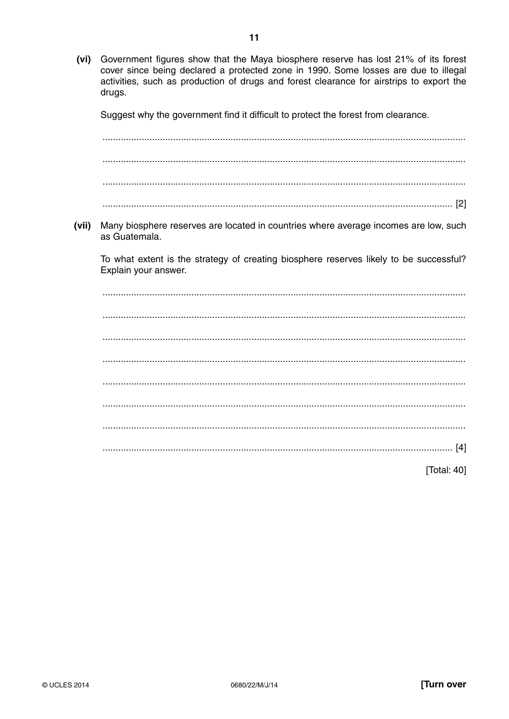(vi) Government figures show that the Maya biosphere reserve has lost 21% of its forest cover since being declared a protected zone in 1990. Some losses are due to illegal activities, such as production of drugs and forest clearance for airstrips to export the drugs.

Suggest why the government find it difficult to protect the forest from clearance.

(vii) Many biosphere reserves are located in countries where average incomes are low, such as Guatemala.

To what extent is the strategy of creating biosphere reserves likely to be successful? Explain your answer.

[Total: 40]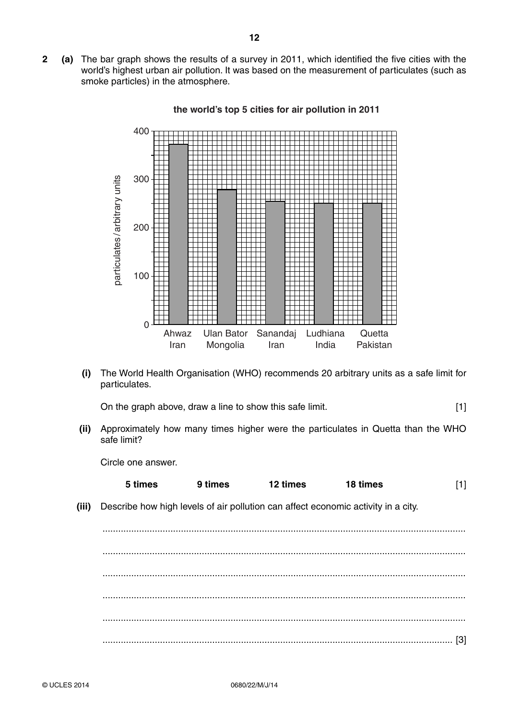**2 (a)** The bar graph shows the results of a survey in 2011, which identified the five cities with the world's highest urban air pollution. It was based on the measurement of particulates (such as smoke particles) in the atmosphere.



#### **the world's top 5 cities for air pollution in 2011**

 **(i)** The World Health Organisation (WHO) recommends 20 arbitrary units as a safe limit for particulates.

On the graph above, draw a line to show this safe limit. *I* [1]

 **(ii)** Approximately how many times higher were the particulates in Quetta than the WHO safe limit?

Circle one answer.

|       | 5 times | 9 times | 12 times | 18 times                                                                          | [1]               |
|-------|---------|---------|----------|-----------------------------------------------------------------------------------|-------------------|
| (iii) |         |         |          | Describe how high levels of air pollution can affect economic activity in a city. |                   |
|       |         |         |          |                                                                                   |                   |
|       |         |         |          |                                                                                   |                   |
|       |         |         |          |                                                                                   |                   |
|       |         |         |          |                                                                                   |                   |
|       |         |         |          |                                                                                   |                   |
|       |         |         |          |                                                                                   | $\lceil 3 \rceil$ |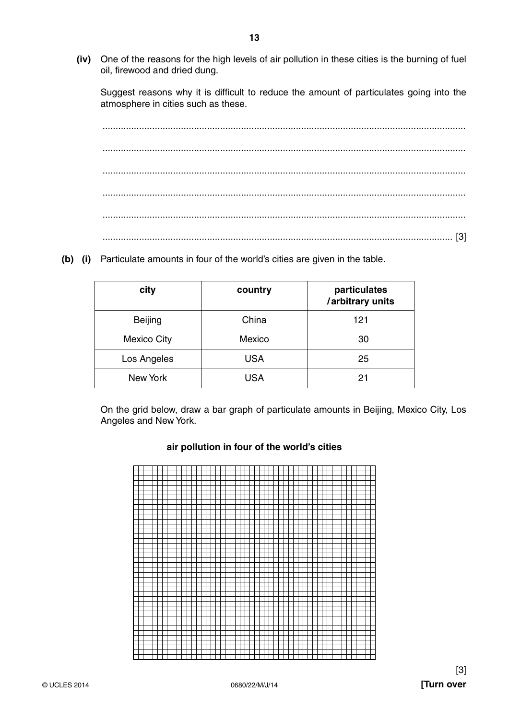**(iv)** One of the reasons for the high levels of air pollution in these cities is the burning of fuel oil, firewood and dried dung.

Suggest reasons why it is difficult to reduce the amount of particulates going into the atmosphere in cities such as these.

 ........................................................................................................................................... ........................................................................................................................................... ........................................................................................................................................... ........................................................................................................................................... ........................................................................................................................................... ...................................................................................................................................... [3]

 **(b) (i)** Particulate amounts in four of the world's cities are given in the table.

| city               | country    | particulates<br>/arbitrary units |
|--------------------|------------|----------------------------------|
| <b>Beijing</b>     | China      | 121                              |
| <b>Mexico City</b> | Mexico     | 30                               |
| Los Angeles        | <b>USA</b> | 25                               |
| New York           | USA        | 21                               |

On the grid below, draw a bar graph of particulate amounts in Beijing, Mexico City, Los Angeles and New York.



### **air pollution in four of the world's cities**

**13**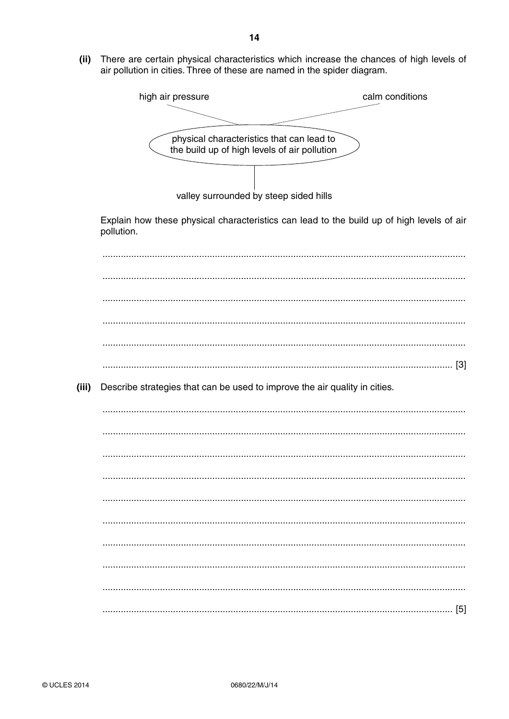$(ii)$ There are certain physical characteristics which increase the chances of high levels of air pollution in cities. Three of these are named in the spider diagram.

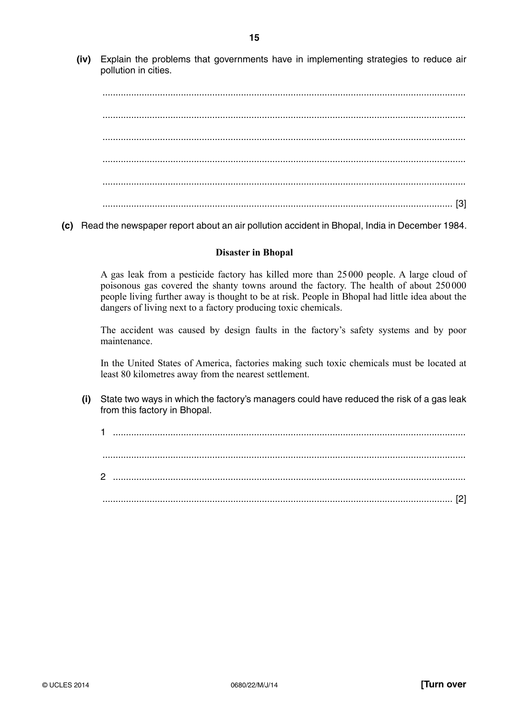........................................................................................................................................... ........................................................................................................................................... ........................................................................................................................................... ........................................................................................................................................... ........................................................................................................................................... ...................................................................................................................................... [3]

 **(c)** Read the newspaper report about an air pollution accident in Bhopal, India in December 1984.

### **Disaster in Bhopal**

 A gas leak from a pesticide factory has killed more than 25 000 people. A large cloud of poisonous gas covered the shanty towns around the factory. The health of about 250 000 people living further away is thought to be at risk. People in Bhopal had little idea about the dangers of living next to a factory producing toxic chemicals.

 The accident was caused by design faults in the factory's safety systems and by poor maintenance.

 In the United States of America, factories making such toxic chemicals must be located at least 80 kilometres away from the nearest settlement.

- **(i)** State two ways in which the factory's managers could have reduced the risk of a gas leak from this factory in Bhopal.
	- 1 ....................................................................................................................................... ........................................................................................................................................... 2 ....................................................................................................................................... ...................................................................................................................................... [2]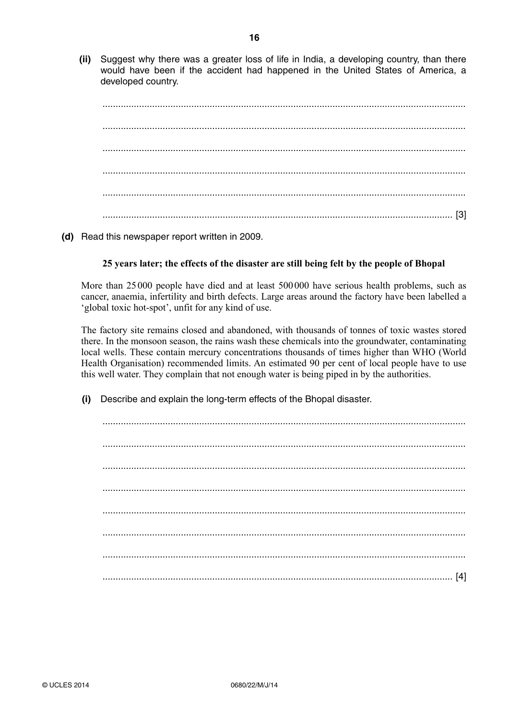**(ii)** Suggest why there was a greater loss of life in India, a developing country, than there would have been if the accident had happened in the United States of America, a developed country.

 ........................................................................................................................................... ........................................................................................................................................... ........................................................................................................................................... ........................................................................................................................................... ........................................................................................................................................... ...................................................................................................................................... [3]

 **(d)** Read this newspaper report written in 2009.

#### **25 years later; the effects of the disaster are still being felt by the people of Bhopal**

 More than 25 000 people have died and at least 500 000 have serious health problems, such as cancer, anaemia, infertility and birth defects. Large areas around the factory have been labelled a 'global toxic hot-spot', unfit for any kind of use.

 The factory site remains closed and abandoned, with thousands of tonnes of toxic wastes stored there. In the monsoon season, the rains wash these chemicals into the groundwater, contaminating local wells. These contain mercury concentrations thousands of times higher than WHO (World Health Organisation) recommended limits. An estimated 90 per cent of local people have to use this well water. They complain that not enough water is being piped in by the authorities.

 **(i)** Describe and explain the long-term effects of the Bhopal disaster.

| $[4]$ |
|-------|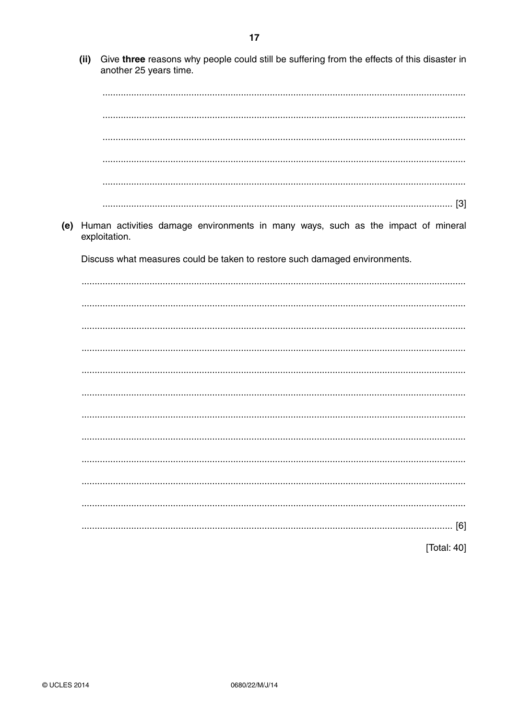- $(ii)$ Give three reasons why people could still be suffering from the effects of this disaster in another 25 years time.
- (e) Human activities damage environments in many ways, such as the impact of mineral exploitation. Discuss what measures could be taken to restore such damaged environments. [Total: 40]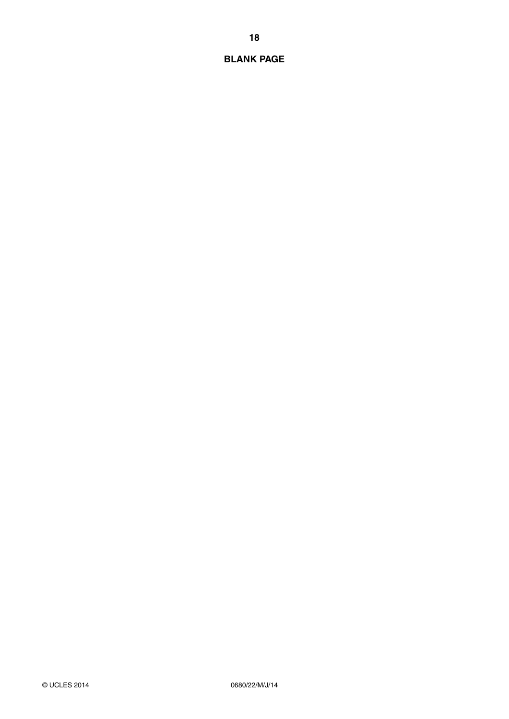# **BLANK PAGE**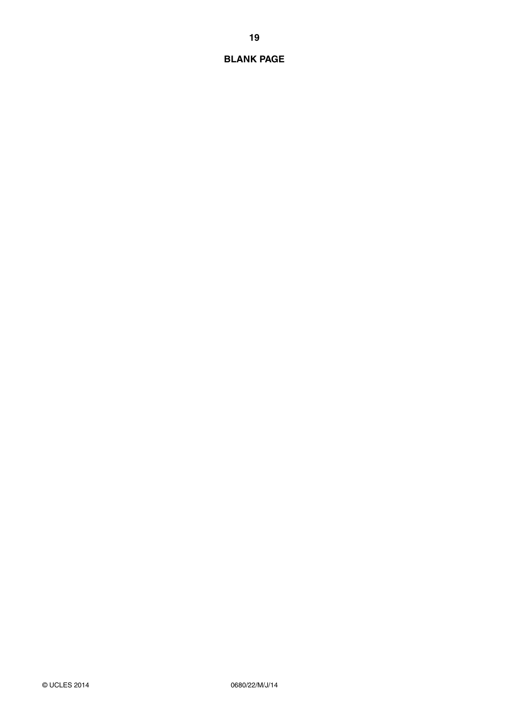# **BLANK PAGE**